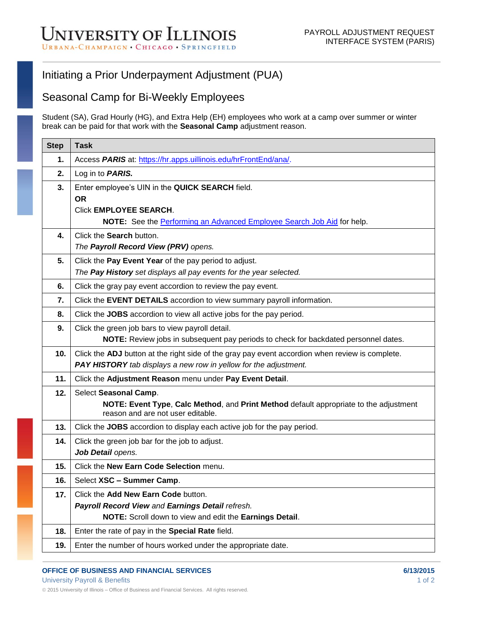## Initiating a Prior Underpayment Adjustment (PUA)

## Seasonal Camp for Bi-Weekly Employees

Student (SA), Grad Hourly (HG), and Extra Help (EH) employees who work at a camp over summer or winter break can be paid for that work with the **Seasonal Camp** adjustment reason.

| <b>Step</b> | <b>Task</b>                                                                                                                |
|-------------|----------------------------------------------------------------------------------------------------------------------------|
| 1.          | Access PARIS at: https://hr.apps.uillinois.edu/hrFrontEnd/ana/.                                                            |
| 2.          | Log in to <b>PARIS.</b>                                                                                                    |
| 3.          | Enter employee's UIN in the QUICK SEARCH field.                                                                            |
|             | <b>OR</b>                                                                                                                  |
|             | <b>Click EMPLOYEE SEARCH.</b><br>NOTE: See the Performing an Advanced Employee Search Job Aid for help.                    |
| 4.          | Click the Search button.                                                                                                   |
|             | The Payroll Record View (PRV) opens.                                                                                       |
| 5.          | Click the Pay Event Year of the pay period to adjust.                                                                      |
|             | The Pay History set displays all pay events for the year selected.                                                         |
| 6.          | Click the gray pay event accordion to review the pay event.                                                                |
| 7.          | Click the EVENT DETAILS accordion to view summary payroll information.                                                     |
| 8.          | Click the JOBS accordion to view all active jobs for the pay period.                                                       |
| 9.          | Click the green job bars to view payroll detail.                                                                           |
|             | NOTE: Review jobs in subsequent pay periods to check for backdated personnel dates.                                        |
| 10.         | Click the ADJ button at the right side of the gray pay event accordion when review is complete.                            |
|             | PAY HISTORY tab displays a new row in yellow for the adjustment.                                                           |
| 11.         | Click the Adjustment Reason menu under Pay Event Detail.                                                                   |
| 12.         | Select Seasonal Camp.                                                                                                      |
|             | NOTE: Event Type, Calc Method, and Print Method default appropriate to the adjustment<br>reason and are not user editable. |
| 13.         | Click the JOBS accordion to display each active job for the pay period.                                                    |
| 14.         | Click the green job bar for the job to adjust.                                                                             |
|             | Job Detail opens.                                                                                                          |
| 15.         | Click the New Earn Code Selection menu.                                                                                    |
| 16.         | Select XSC - Summer Camp.                                                                                                  |
| 17.         | Click the Add New Earn Code button.                                                                                        |
|             | Payroll Record View and Earnings Detail refresh.                                                                           |
|             | NOTE: Scroll down to view and edit the Earnings Detail.                                                                    |
| 18.         | Enter the rate of pay in the Special Rate field.                                                                           |
| 19.         | Enter the number of hours worked under the appropriate date.                                                               |